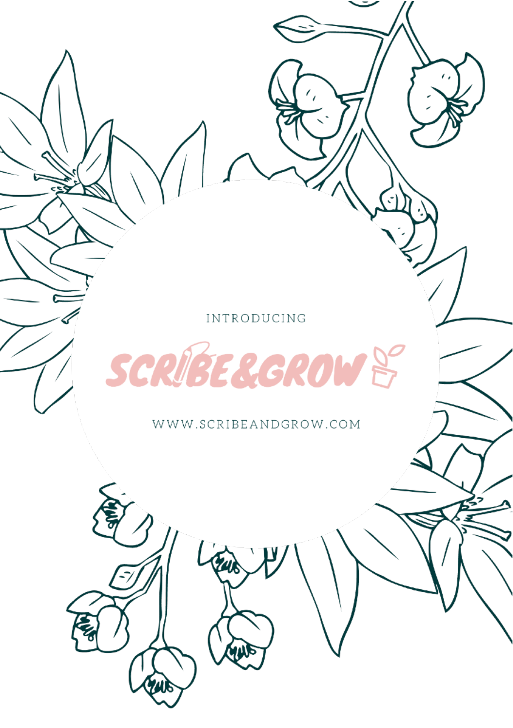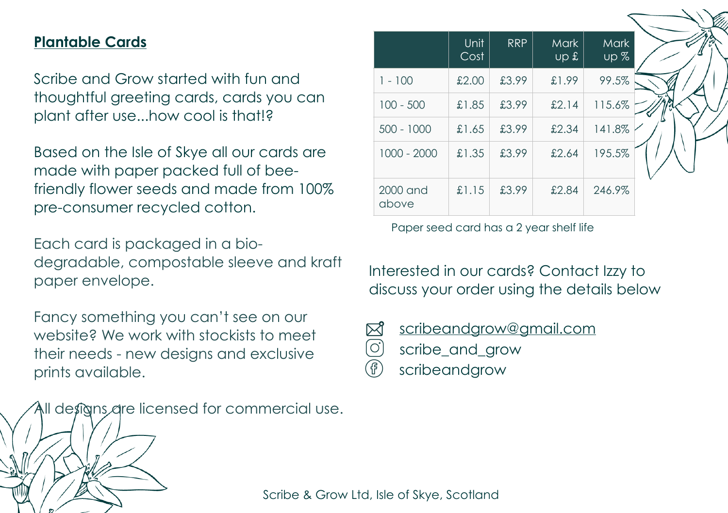## **Plantable Cards**

Scribe and Grow started with fun and thoughtful greeting cards, cards you can plant after use...how cool is that!?

Based on the Isle of Skye all our cards are made with paper packed full of beefriendly flower seeds and made from 100% pre-consumer recycled cotton.

Each card is packaged in a biodegradable, compostable sleeve and kraft paper envelope.

Fancy something you can't see on our website? We work with stockists to meet their needs - new designs and exclusive prints available.

All designs are licensed for commercial use.

|                   | Unit<br>Cost | <b>RRP</b> | <b>Mark</b><br>$\overline{3}$ qu | <b>Mark</b><br>up % |  |  |  |
|-------------------|--------------|------------|----------------------------------|---------------------|--|--|--|
| $1 - 100$         | £2.00        | £3.99      | £1.99                            | 99.5%               |  |  |  |
| $100 - 500$       | £1.85        | £3.99      | £2.14                            | 115.6%              |  |  |  |
| $500 - 1000$      | £1.65        | £3.99      | £2.34                            | 141.8%              |  |  |  |
| 1000 - 2000       | £1.35        | £3.99      | £2.64                            | 195.5%              |  |  |  |
| 2000 and<br>above | £1.15        | £3.99      | £2.84                            | 246.9%              |  |  |  |

Paper seed card has a 2 year shelf life

Interested in our cards? Contact Izzy to discuss your order using the details below



[scribeandgrow@gmail.com](mailto:scribeandgrow@gmail.com)

- scribe\_and\_grow
- F scribeandgrow